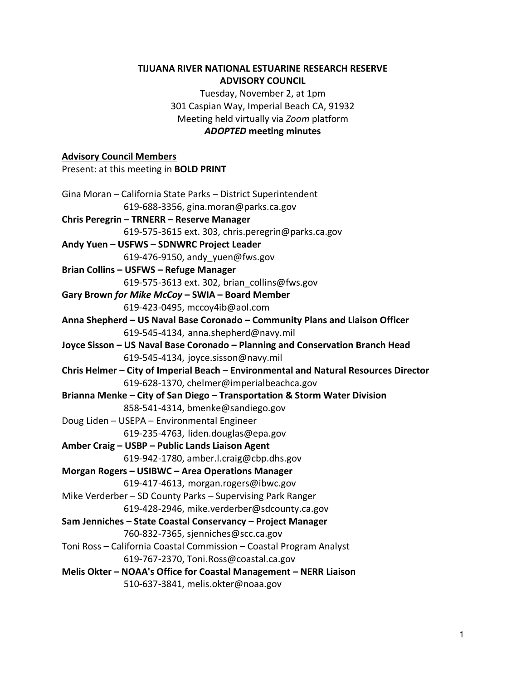### **TIJUANA RIVER NATIONAL ESTUARINE RESEARCH RESERVE ADVISORY COUNCIL**

Tuesday, November 2, at 1pm 301 Caspian Way, Imperial Beach CA, 91932 Meeting held virtually via *Zoom* platform *ADOPTED* **meeting minutes**

#### **Advisory Council Members**

Present: at this meeting in **BOLD PRINT** Gina Moran – California State Parks – District Superintendent 619-688-3356, gina.moran@parks.ca.gov **Chris Peregrin – TRNERR – Reserve Manager** 619-575-3615 ext. 303, chris.peregrin@parks.ca.gov **Andy Yuen – USFWS – SDNWRC Project Leader** 619-476-9150, andy\_yuen@fws.gov **Brian Collins – USFWS – Refuge Manager** 619-575-3613 ext. 302, [brian\\_collins@fws.gov](mailto:brian_collins@fws.gov) **Gary Brown** *for Mike McCoy* **– SWIA – Board Member** 619-423-0495, mccoy4ib@aol.com **Anna Shepherd – US Naval Base Coronado – Community Plans and Liaison Officer** 619-545-4134, anna.shepherd@navy.mil **Joyce Sisson – US Naval Base Coronado – Planning and Conservation Branch Head** 619-545-4134, joyce.sisson@navy.mil **Chris Helmer – City of Imperial Beach – Environmental and Natural Resources Director** 619-628-1370, chelmer@imperialbeachca.gov **Brianna Menke – City of San Diego – Transportation & Storm Water Division** 858-541-4314, bmenke@sandiego.gov Doug Liden – USEPA – Environmental Engineer 619-235-4763, liden.douglas@epa.gov **Amber Craig – USBP – Public Lands Liaison Agent** 619-942-1780, amber.l.craig@cbp.dhs.gov **Morgan Rogers – USIBWC – Area Operations Manager** 619-417-4613, morgan.rogers@ibwc.gov Mike Verderber – SD County Parks – Supervising Park Ranger 619-428-2946, mike.verderber@sdcounty.ca.gov **Sam Jenniches – State Coastal Conservancy – Project Manager** 760-832-7365, sjenniches@scc.ca.gov Toni Ross – California Coastal Commission – Coastal Program Analyst 619-767-2370, Toni.Ross@coastal.ca.gov **Melis Okter – NOAA's Office for Coastal Management – NERR Liaison** 510-637-3841, melis.okter@noaa.gov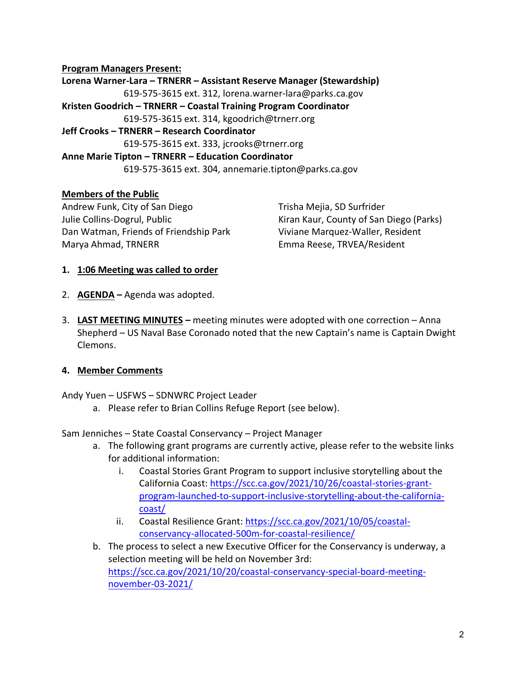### **Program Managers Present:**

**Lorena Warner-Lara – TRNERR – Assistant Reserve Manager (Stewardship)** 619-575-3615 ext. 312, lorena.warner-lara@parks.ca.gov **Kristen Goodrich – TRNERR – Coastal Training Program Coordinator** 619-575-3615 ext. 314, kgoodrich@trnerr.org **Jeff Crooks – TRNERR – Research Coordinator** 619-575-3615 ext. 333, jcrooks@trnerr.org **Anne Marie Tipton – TRNERR – Education Coordinator** 619-575-3615 ext. 304, annemarie.tipton@parks.ca.gov

#### **Members of the Public**

Andrew Funk, City of San Diego Julie Collins-Dogrul, Public Dan Watman, Friends of Friendship Park Marya Ahmad, TRNERR

Trisha Mejia, SD Surfrider Kiran Kaur, County of San Diego (Parks) Viviane Marquez-Waller, Resident Emma Reese, TRVEA/Resident

#### **1. 1:06 Meeting was called to order**

- 2. **AGENDA –** Agenda was adopted.
- 3. **LAST MEETING MINUTES –** meeting minutes were adopted with one correction Anna Shepherd – US Naval Base Coronado noted that the new Captain's name is Captain Dwight Clemons.

#### **4. Member Comments**

Andy Yuen – USFWS – SDNWRC Project Leader

a. Please refer to Brian Collins Refuge Report (see below).

Sam Jenniches – State Coastal Conservancy – Project Manager

- a. The following grant programs are currently active, please refer to the website links for additional information:
	- i. Coastal Stories Grant Program to support inclusive storytelling about the California Coast[: https://scc.ca.gov/2021/10/26/coastal-stories-grant](https://scc.ca.gov/2021/10/26/coastal-stories-grant-program-launched-to-support-inclusive-storytelling-about-the-california-coast/)[program-launched-to-support-inclusive-storytelling-about-the-california](https://scc.ca.gov/2021/10/26/coastal-stories-grant-program-launched-to-support-inclusive-storytelling-about-the-california-coast/)[coast/](https://scc.ca.gov/2021/10/26/coastal-stories-grant-program-launched-to-support-inclusive-storytelling-about-the-california-coast/)
	- ii. Coastal Resilience Grant[: https://scc.ca.gov/2021/10/05/coastal](https://scc.ca.gov/2021/10/05/coastal-conservancy-allocated-500m-for-coastal-resilience/)[conservancy-allocated-500m-for-coastal-resilience/](https://scc.ca.gov/2021/10/05/coastal-conservancy-allocated-500m-for-coastal-resilience/)
- b. The process to select a new Executive Officer for the Conservancy is underway, a selection meeting will be held on November 3rd: [https://scc.ca.gov/2021/10/20/coastal-conservancy-special-board-meeting](https://scc.ca.gov/2021/10/20/coastal-conservancy-special-board-meeting-november-03-2021/)[november-03-2021/](https://scc.ca.gov/2021/10/20/coastal-conservancy-special-board-meeting-november-03-2021/)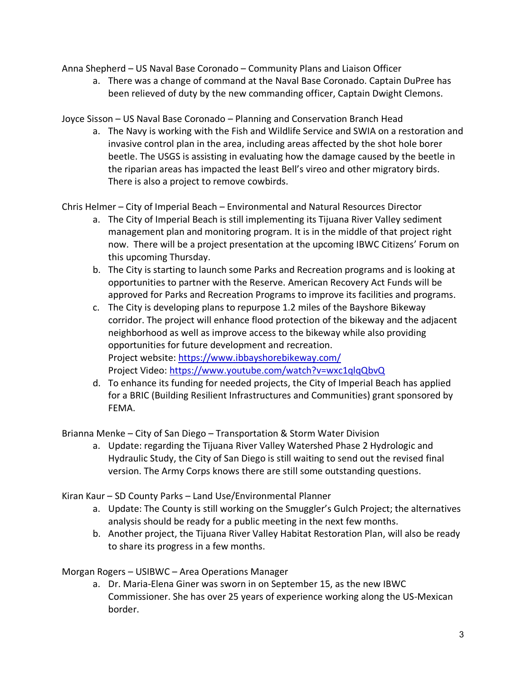Anna Shepherd – US Naval Base Coronado – Community Plans and Liaison Officer

a. There was a change of command at the Naval Base Coronado. Captain DuPree has been relieved of duty by the new commanding officer, Captain Dwight Clemons.

Joyce Sisson – US Naval Base Coronado – Planning and Conservation Branch Head

a. The Navy is working with the Fish and Wildlife Service and SWIA on a restoration and invasive control plan in the area, including areas affected by the shot hole borer beetle. The USGS is assisting in evaluating how the damage caused by the beetle in the riparian areas has impacted the least Bell's vireo and other migratory birds. There is also a project to remove cowbirds.

Chris Helmer – City of Imperial Beach – Environmental and Natural Resources Director

- a. The City of Imperial Beach is still implementing its Tijuana River Valley sediment management plan and monitoring program. It is in the middle of that project right now. There will be a project presentation at the upcoming IBWC Citizens' Forum on this upcoming Thursday.
- b. The City is starting to launch some Parks and Recreation programs and is looking at opportunities to partner with the Reserve. American Recovery Act Funds will be approved for Parks and Recreation Programs to improve its facilities and programs.
- c. The City is developing plans to repurpose 1.2 miles of the Bayshore Bikeway corridor. The project will enhance flood protection of the bikeway and the adjacent neighborhood as well as improve access to the bikeway while also providing opportunities for future development and recreation. Project website[: https://www.ibbayshorebikeway.com/](https://www.ibbayshorebikeway.com/) Project Video:<https://www.youtube.com/watch?v=wxc1qlqQbvQ>
- d. To enhance its funding for needed projects, the City of Imperial Beach has applied for a BRIC (Building Resilient Infrastructures and Communities) grant sponsored by FEMA.

Brianna Menke – City of San Diego – Transportation & Storm Water Division

a. Update: regarding the Tijuana River Valley Watershed Phase 2 Hydrologic and Hydraulic Study, the City of San Diego is still waiting to send out the revised final version. The Army Corps knows there are still some outstanding questions.

Kiran Kaur – SD County Parks – Land Use/Environmental Planner

- a. Update: The County is still working on the Smuggler's Gulch Project; the alternatives analysis should be ready for a public meeting in the next few months.
- b. Another project, the Tijuana River Valley Habitat Restoration Plan, will also be ready to share its progress in a few months.

Morgan Rogers – USIBWC – Area Operations Manager

a. Dr. Maria-Elena Giner was sworn in on September 15, as the new IBWC Commissioner. She has over 25 years of experience working along the US-Mexican border.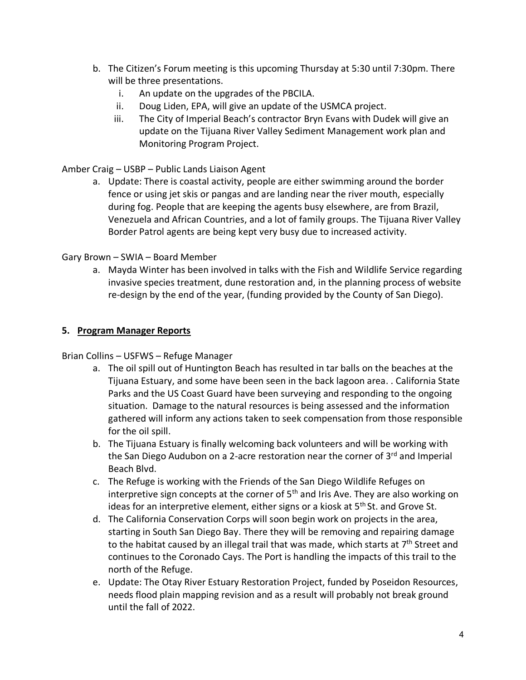- b. The Citizen's Forum meeting is this upcoming Thursday at 5:30 until 7:30pm. There will be three presentations.
	- i. An update on the upgrades of the PBCILA.
	- ii. Doug Liden, EPA, will give an update of the USMCA project.
	- iii. The City of Imperial Beach's contractor Bryn Evans with Dudek will give an update on the Tijuana River Valley Sediment Management work plan and Monitoring Program Project.

## Amber Craig – USBP – Public Lands Liaison Agent

a. Update: There is coastal activity, people are either swimming around the border fence or using jet skis or pangas and are landing near the river mouth, especially during fog. People that are keeping the agents busy elsewhere, are from Brazil, Venezuela and African Countries, and a lot of family groups. The Tijuana River Valley Border Patrol agents are being kept very busy due to increased activity.

### Gary Brown – SWIA – Board Member

a. Mayda Winter has been involved in talks with the Fish and Wildlife Service regarding invasive species treatment, dune restoration and, in the planning process of website re-design by the end of the year, (funding provided by the County of San Diego).

### **5. Program Manager Reports**

## Brian Collins – USFWS – Refuge Manager

- a. The oil spill out of Huntington Beach has resulted in tar balls on the beaches at the Tijuana Estuary, and some have been seen in the back lagoon area. . California State Parks and the US Coast Guard have been surveying and responding to the ongoing situation. Damage to the natural resources is being assessed and the information gathered will inform any actions taken to seek compensation from those responsible for the oil spill.
- b. The Tijuana Estuary is finally welcoming back volunteers and will be working with the San Diego Audubon on a 2-acre restoration near the corner of  $3<sup>rd</sup>$  and Imperial Beach Blvd.
- c. The Refuge is working with the Friends of the San Diego Wildlife Refuges on interpretive sign concepts at the corner of  $5<sup>th</sup>$  and Iris Ave. They are also working on ideas for an interpretive element, either signs or a kiosk at 5<sup>th</sup> St. and Grove St.
- d. The California Conservation Corps will soon begin work on projects in the area, starting in South San Diego Bay. There they will be removing and repairing damage to the habitat caused by an illegal trail that was made, which starts at 7<sup>th</sup> Street and continues to the Coronado Cays. The Port is handling the impacts of this trail to the north of the Refuge.
- e. Update: The Otay River Estuary Restoration Project, funded by Poseidon Resources, needs flood plain mapping revision and as a result will probably not break ground until the fall of 2022.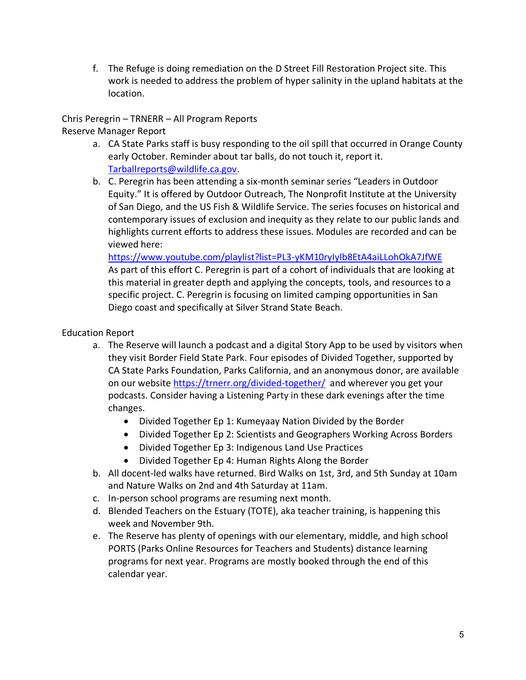f. The Refuge is doing remediation on the D Street Fill Restoration Project site. This work is needed to address the problem of hyper salinity in the upland habitats at the location.

Chris Peregrin – TRNERR – All Program Reports Reserve Manager Report

a. CA State Parks staff is busy responding to the oil spill that occurred in Orange County early October. Reminder about tar balls, do not touch it, report it.

[Tarballreports@wildlife.ca.gov.](mailto:Tarballreports@wildlife.ca.gov)

b. C. Peregrin has been attending a six-month seminar series "Leaders in Outdoor Equity." It is offered by Outdoor Outreach, The Nonprofit Institute at the University of San Diego, and the US Fish & Wildlife Service. The series focuses on historical and contemporary issues of exclusion and inequity as they relate to our public lands and highlights current efforts to address these issues. Modules are recorded and can be viewed here:

<https://www.youtube.com/playlist?list=PL3-yKM10ryIylb8EtA4aiLLohOkA7JfWE> As part of this effort C. Peregrin is part of a cohort of individuals that are looking at this material in greater depth and applying the concepts, tools, and resources to a specific project. C. Peregrin is focusing on limited camping opportunities in San Diego coast and specifically at Silver Strand State Beach.

## Education Report

- a. The Reserve will launch a podcast and a digital Story App to be used by visitors when they visit Border Field State Park. Four episodes of Divided Together, supported by CA State Parks Foundation, Parks California, and an anonymous donor, are available on our website<https://trnerr.org/divided-together/> and wherever you get your podcasts. Consider having a Listening Party in these dark evenings after the time changes.
	- Divided Together Ep 1: Kumeyaay Nation Divided by the Border
	- Divided Together Ep 2: Scientists and Geographers Working Across Borders
	- Divided Together Ep 3: Indigenous Land Use Practices
	- Divided Together Ep 4: Human Rights Along the Border
- b. All docent-led walks have returned. Bird Walks on 1st, 3rd, and 5th Sunday at 10am and Nature Walks on 2nd and 4th Saturday at 11am.
- c. In-person school programs are resuming next month.
- d. Blended Teachers on the Estuary (TOTE), aka teacher training, is happening this week and November 9th.
- e. The Reserve has plenty of openings with our elementary, middle, and high school PORTS (Parks Online Resources for Teachers and Students) distance learning programs for next year. Programs are mostly booked through the end of this calendar year.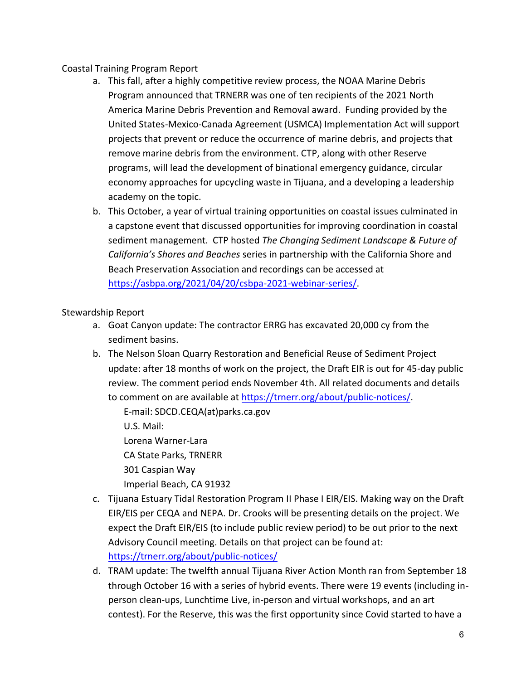## Coastal Training Program Report

- a. This fall, after a highly competitive review process, the NOAA Marine Debris Program announced that TRNERR was one of ten recipients of the 2021 North America Marine Debris Prevention and Removal award. Funding provided by the United States-Mexico-Canada Agreement (USMCA) Implementation Act will support projects that prevent or reduce the occurrence of marine debris, and projects that remove marine debris from the environment. CTP, along with other Reserve programs, will lead the development of binational emergency guidance, circular economy approaches for upcycling waste in Tijuana, and a developing a leadership academy on the topic.
- b. This October, a year of virtual training opportunities on coastal issues culminated in a capstone event that discussed opportunities for improving coordination in coastal sediment management. CTP hosted *The Changing Sediment Landscape & Future of California's Shores and Beaches* series in partnership with the California Shore and Beach Preservation Association and recordings can be accessed at [https://asbpa.org/2021/04/20/csbpa-2021-webinar-series/.](https://asbpa.org/2021/04/20/csbpa-2021-webinar-series/)

# Stewardship Report

- a. Goat Canyon update: The contractor ERRG has excavated 20,000 cy from the sediment basins.
- b. The Nelson Sloan Quarry Restoration and Beneficial Reuse of Sediment Project update: after 18 months of work on the project, the Draft EIR is out for 45-day public review. The comment period ends November 4th. All related documents and details to comment on are available at [https://trnerr.org/about/public-notices/.](https://trnerr.org/about/public-notices/)

E-mail: SDCD.CEQA(at)parks.ca.gov U.S. Mail: Lorena Warner-Lara

CA State Parks, TRNERR 301 Caspian Way Imperial Beach, CA 91932

- c. Tijuana Estuary Tidal Restoration Program II Phase I EIR/EIS. Making way on the Draft EIR/EIS per CEQA and NEPA. Dr. Crooks will be presenting details on the project. We expect the Draft EIR/EIS (to include public review period) to be out prior to the next Advisory Council meeting. Details on that project can be found at: <https://trnerr.org/about/public-notices/>
- d. TRAM update: The twelfth annual Tijuana River Action Month ran from September 18 through October 16 with a series of hybrid events. There were 19 events (including inperson clean-ups, Lunchtime Live, in-person and virtual workshops, and an art contest). For the Reserve, this was the first opportunity since Covid started to have a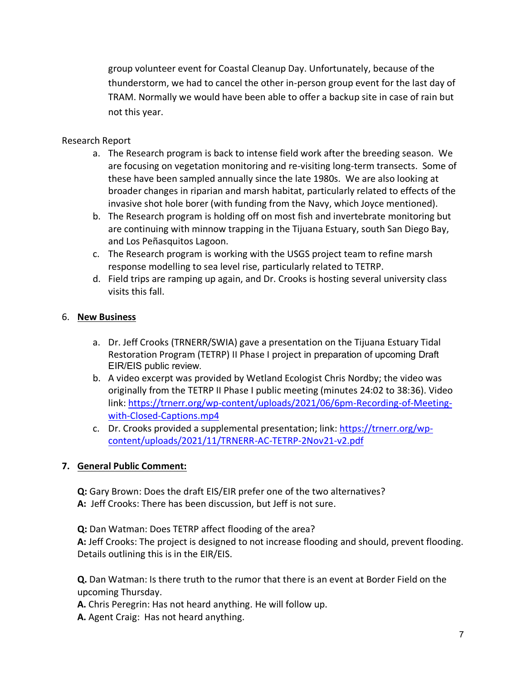group volunteer event for Coastal Cleanup Day. Unfortunately, because of the thunderstorm, we had to cancel the other in-person group event for the last day of TRAM. Normally we would have been able to offer a backup site in case of rain but not this year.

## Research Report

- a. The Research program is back to intense field work after the breeding season. We are focusing on vegetation monitoring and re-visiting long-term transects. Some of these have been sampled annually since the late 1980s. We are also looking at broader changes in riparian and marsh habitat, particularly related to effects of the invasive shot hole borer (with funding from the Navy, which Joyce mentioned).
- b. The Research program is holding off on most fish and invertebrate monitoring but are continuing with minnow trapping in the Tijuana Estuary, south San Diego Bay, and Los Peñasquitos Lagoon.
- c. The Research program is working with the USGS project team to refine marsh response modelling to sea level rise, particularly related to TETRP.
- d. Field trips are ramping up again, and Dr. Crooks is hosting several university class visits this fall.

# 6. **New Business**

- a. Dr. Jeff Crooks (TRNERR/SWIA) gave a presentation on the Tijuana Estuary Tidal Restoration Program (TETRP) II Phase I project in preparation of upcoming Draft EIR/EIS public review.
- b. A video excerpt was provided by Wetland Ecologist Chris Nordby; the video was originally from the TETRP II Phase I public meeting (minutes 24:02 to 38:36). Video link: [https://trnerr.org/wp-content/uploads/2021/06/6pm-Recording-of-Meeting](https://trnerr.org/wp-content/uploads/2021/06/6pm-Recording-of-Meeting-with-Closed-Captions.mp4)[with-Closed-Captions.mp4](https://trnerr.org/wp-content/uploads/2021/06/6pm-Recording-of-Meeting-with-Closed-Captions.mp4)
- c. Dr. Crooks provided a supplemental presentation; link: [https://trnerr.org/wp](https://trnerr.org/wp-content/uploads/2021/11/TRNERR-AC-TETRP-2Nov21-v2.pdf)[content/uploads/2021/11/TRNERR-AC-TETRP-2Nov21-v2.pdf](https://trnerr.org/wp-content/uploads/2021/11/TRNERR-AC-TETRP-2Nov21-v2.pdf)

## **7. General Public Comment:**

**Q:** Gary Brown: Does the draft EIS/EIR prefer one of the two alternatives? **A:** Jeff Crooks: There has been discussion, but Jeff is not sure.

**Q:** Dan Watman: Does TETRP affect flooding of the area? **A:** Jeff Crooks: The project is designed to not increase flooding and should, prevent flooding. Details outlining this is in the EIR/EIS.

**Q.** Dan Watman: Is there truth to the rumor that there is an event at Border Field on the upcoming Thursday.

**A.** Chris Peregrin: Has not heard anything. He will follow up.

**A.** Agent Craig: Has not heard anything.